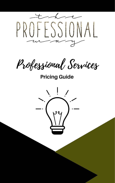

Professional Services

**Pricing Guide**

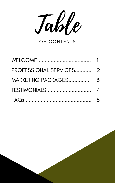





# FAQs.............................................

5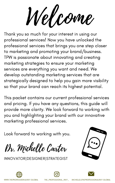Thank you so much for your interest in using our professional services! Now you have unlocked the professional services that brings you one step closer to marketing and promoting your brand/business. TPW is passionate about innovating and creating marketing strategies to ensure your marketing services are everything you want and need. We develop outstanding marketing services that are strategically designed to help you gain more visibility so that your brand can reach its highest potential.

Welcome

This packet contains our current professional services and pricing. If you have any questions, this guide will provide more clarity. We look forward to working with you and highlighting your brand with our innovative marketing professional services.

Dr. Michelle Carter

Look forward to working with you.

INNOVATOR|DESIGNER|STRATEGIST







WWW.THEPROFESSIONALWAY.GLOBAL THE\_PROFESSIONAL\_WAY\_ MICHELLE@THEPROFESSIONALWAY.GLOBAL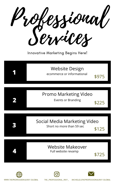Professional Services

WWW.THEPROFESSIONALWAY.GLOBAL THE\_PROFESSIONAL\_WAY\_ MICHELLE@THEPROFESSIONALWAY.GLOBAL

### Innovative Marketing Begins Here!

**1**

# Website Design

ecommerce or informational

\$975

# Promo Marketing Video



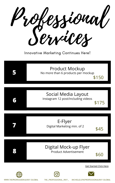Professional Services

WWW.THEPROFESSIONALWAY.GLOBAL THE\_PROFESSIONAL\_WAY\_ MICHELLE@THEPROFESSIONALWAY.GLOBAL

### Innovative Marketing Continues Here!

| <b>Product Mockup</b><br>No more than 6 products per mockup<br>\$150 |
|----------------------------------------------------------------------|
|                                                                      |
|                                                                      |



# Social Media Layout

\$175



**8**



## Digital Mock-up Flyer Product Advertisement

\$60



Get [Started](https://www.theprofessionalway.global/questionaire) Click Here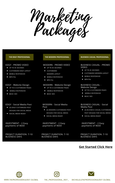

#### THE EDGY PROFESSIONAL

#### EDGY - PROMO VIDEO

- UP TO 45 SECONDS
- CUSTOMIZED EDGY LAYOUT  $\mathbf{C}$
- MOBILE RESPONSIVE
- $\bullet$  MP4 File

### EDGY - Website Design

- UP TO 6 CUSTOMIZED PAGES
- MOBILE RESPONSIVE
- **BASIC SEO** a a

#### THE MODERN PROFESSIONAL

### MODERN - PROMO VIDEO

- UP TO 45 SECONDS
- CUSTOMIZED MODERN LAYOUT
- MOBILE RESPONSIVE
- $\bullet$  MP4 File

#### MODERN - Website Design

- UP TO 6 CUSTOMIZED PAGES
- MOBILE RESPONSIVE
- **BASIC SEO**

**BUSINESS CASUAL PROFESSIONAL** 

#### BUSINESS CASUAL - PROMO VIDEO

- UP TO 45 SECONDS
- CUSTOMIZED MODERN LAYOUT
- MOBILE RESPONSIVE
- MP4 File

#### **BUSINESS CASUAL -**Website Design

- UP TO 6 CUSTOMIZED PAGES
- MOBILE RESPONSIVE
- **BASIC SEO**

**EDGY - Social Media Post** 

- (3) EDGY CUSTOMIZED POST DESIGNS FOR SOCIAL MEDIA
- SOCIAL MEDIA READY

MODERN - Social Media Post

- (3) MODERN CUSTOMIZED POST DESIGNS FOR SOCIAL MEDIA
- · SOCIAL MEDIA READY

**BUSINESS CASUAL - Social** Media Post

- (3) BUSINESS CASUAL CUSTOMIZED POST DESIGNS FOR SOCIAL MEDIA
- SOCIAL MEDIA READY

INVESTMENT - 2 Easy payments of \$650

INVESTMENT - 2 Easy payments of \$650

INVESTMENT - 2 Easy payments of \$650

PROJECT DURATION: 7-10 **BUSINESS DAYS** 

PROJECT DURATION: 7-10 **BUSINESS DAYS** 

PROJECT DURATION: 7-10 **BUSINESS DAYS** 

### **Get Started Click Here**



WWW.THEPROFESSIONALWAY.GLOBAL

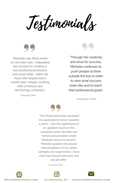Testimonials

"Michelle was there when no one else was. I requested her assistance creating a new professional resume and cover letter, within 48 hours she helped and a month later I began working with a Fortune 500 technology company."

"Through her creativity" and drive for success, Michelle continues to push people to think outside the box in order to view what success looks like and to reach their professional goals"

Corporate Client

"The Professional Way exceeded my expectations! Once I became a client. I saw the significance of an updated resume in the corporate world. Michelle was honest and provided candid feedback about my resume. Michelle updated and placed more emphasis on my career strengths and experiences. I have since had two job interviews and one job offer"

Corporate Client





WWW.THEPROFESSIONALWAY.GLOBAL THE\_PROFESSIONAL\_WAY\_ MICHELLE@THEPROFESSIONALWAY.GLOBAL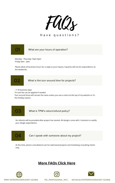

### Have questions?

### $O<sub>1</sub>$ What are your hours of operation?

Monday - Thursday 10am-6pm Friday 9am - 2pm

Please allow 24 business hours for a reply to your inquiry. Inquiries will not be responded to on the weekends.

# 02

What is the turn around time for projects?

- 7-10 business days

\*A rush fee can be applied if needed

Turn around times will remain the same unless you see a notice at the top of my website or it's

the holiday season.

### 73 What is TPW's return/refund policy?

No refunds will be provided after project has started. All designs come with 2 revisions to satisfy your design expectations.

### Can I speak with someone about my project?

At this time, phone consultations are for web based projects and marketing consulting clients only.

### **More FAQs Click Here**



74

WWW.THEPROFESSIONALWAY.GLOBAL



THE\_PROFESSIONAL\_WAY\_ MICHELLE@THEPROFESSIONALWAY.GLOBAL